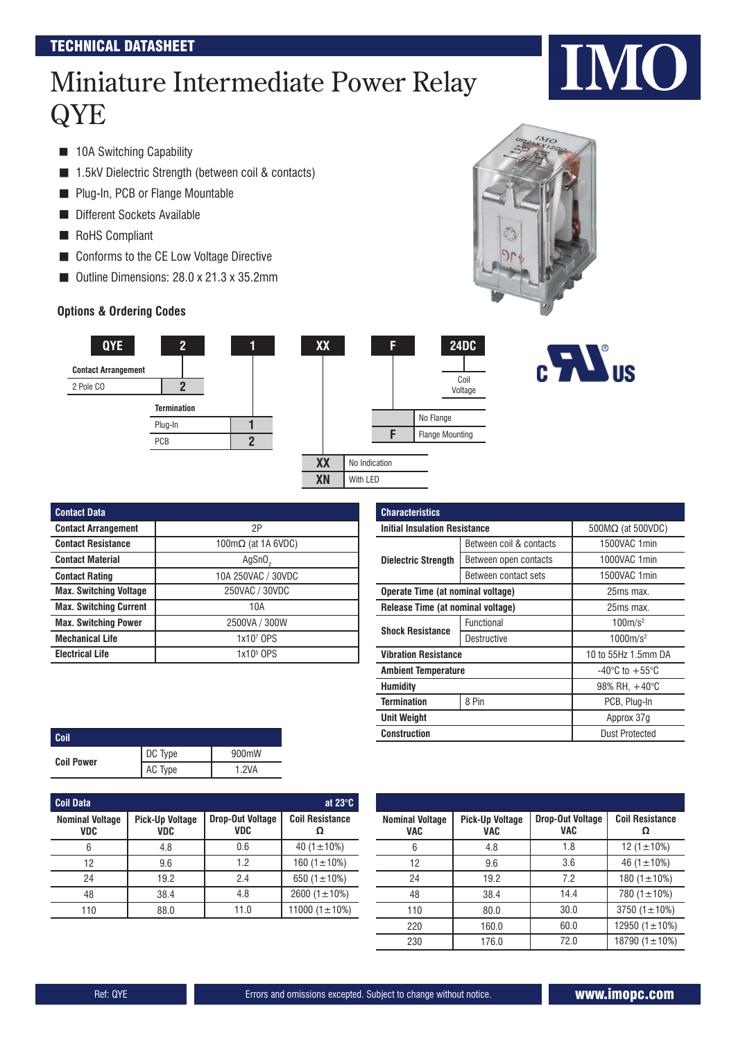## Miniature Intermediate Power Relay QYE

- 10A Switching Capability
- 1.5kV Dielectric Strength (between coil & contacts)
- Plug-In, PCB or Flange Mountable
- Different Sockets Available
- RoHS Compliant
- Conforms to the CE Low Voltage Directive
- Outline Dimensions: 28.0 x 21.3 x 35.2mm

#### **Options & Ordering Codes**



 $c$   $\sum$ <sup>us</sup>

| <b>QYE</b><br><b>Contact Arrangement</b> | $\overline{2}$     | īl | XX        | F             | <b>24DC</b><br>Coil    |
|------------------------------------------|--------------------|----|-----------|---------------|------------------------|
| 2 Pole CO                                | ŋ                  |    |           |               | Voltage                |
|                                          | <b>Termination</b> |    |           |               |                        |
|                                          | Plug-In            |    |           |               | No Flange              |
|                                          | PCB                | ŋ  |           |               | <b>Flange Mounting</b> |
|                                          |                    |    | <b>XX</b> | No Indication |                        |
|                                          |                    |    | XN        | With LED      |                        |

| <b>Contact Data</b>           |                            |
|-------------------------------|----------------------------|
| <b>Contact Arrangement</b>    | 2P                         |
| <b>Contact Resistance</b>     | 100 $m\Omega$ (at 1A 6VDC) |
| <b>Contact Material</b>       | AgSnO <sub>2</sub>         |
| <b>Contact Rating</b>         | 10A 250VAC / 30VDC         |
| <b>Max. Switching Voltage</b> | 250VAC / 30VDC             |
| <b>Max. Switching Current</b> | 10A                        |
| <b>Max. Switching Power</b>   | 2500VA / 300W              |
| <b>Mechanical Life</b>        | 1x107 OPS                  |
| <b>Electrical Life</b>        | 1x10 <sup>5</sup> OPS      |

| <b>Contact Data</b>           |                            | <b>Characteristics</b>               |                         |                                    |
|-------------------------------|----------------------------|--------------------------------------|-------------------------|------------------------------------|
| <b>Contact Arrangement</b>    | 2P                         | <b>Initial Insulation Resistance</b> |                         | $500M\Omega$ (at 500VDC)           |
| <b>Contact Resistance</b>     | 100 $m\Omega$ (at 1A 6VDC) |                                      | Between coil & contacts | 1500VAC 1min                       |
| Contact Material              | AgSnO <sub>2</sub>         | <b>Dielectric Strength</b>           | Between open contacts   | 1000VAC 1min                       |
| <b>Contact Rating</b>         | 10A 250VAC / 30VDC         |                                      | Between contact sets    | 1500VAC 1min                       |
| <b>Max. Switching Voltage</b> | 250VAC / 30VDC             | Operate Time (at nominal voltage)    |                         | 25ms max.                          |
| <b>Max. Switching Current</b> | 10A                        | Release Time (at nominal voltage)    |                         | 25ms max.                          |
| <b>Max. Switching Power</b>   | 2500VA / 300W              |                                      | Functional              | 100m/s <sup>2</sup>                |
| <b>Mechanical Life</b>        | 1x107 OPS                  | <b>Shock Resistance</b>              | Destructive             | $1000m/s^2$                        |
| Electrical Life               | 1x10 <sup>5</sup> OPS      | <b>Vibration Resistance</b>          |                         | 10 to 55Hz 1.5mm DA                |
|                               |                            | <b>Ambient Temperature</b>           |                         | $-40^{\circ}$ C to $+55^{\circ}$ C |
|                               |                            | <b>Humidity</b>                      |                         | 98% RH, $+40^{\circ}$ C            |
|                               |                            | Termination                          | 8 Pin                   | PCB, Plug-In                       |
|                               |                            | <b>Unit Weight</b>                   |                         | Approx 37g                         |
| Coil                          |                            | <b>Construction</b>                  |                         | <b>Dust Protected</b>              |
|                               |                            |                                      |                         |                                    |

| Coil              |         |       |  |
|-------------------|---------|-------|--|
| <b>Coil Power</b> | DC Type | 900mW |  |
|                   | AC Type | 1.2VA |  |

| <b>Coil Data</b>                     | at $23^\circ$ C                      |                                       |                        |
|--------------------------------------|--------------------------------------|---------------------------------------|------------------------|
| <b>Nominal Voltage</b><br><b>VDC</b> | <b>Pick-Up Voltage</b><br><b>VDC</b> | <b>Drop-Out Voltage</b><br><b>VDC</b> | <b>Coil Resistance</b> |
| 6                                    | 4.8                                  | 0.6                                   | 40 $(1 \pm 10\%)$      |
| 12                                   | 9.6                                  | 1.2                                   | 160 $(1 \pm 10\%)$     |
| 24                                   | 19.2                                 | 2.4                                   | 650 $(1 \pm 10\%)$     |
| 48                                   | 38.4                                 | 4.8                                   | 2600 $(1 \pm 10\%)$    |
| 110                                  | 88.0                                 | 11.0                                  | 11000 $(1 \pm 10\%)$   |

| <b>Nominal Voltage</b><br><b>VAC</b> | <b>Pick-Up Voltage</b><br><b>VAC</b> | <b>Drop-Out Voltage</b><br><b>VAC</b> | <b>Coil Resistance</b> |
|--------------------------------------|--------------------------------------|---------------------------------------|------------------------|
| 6                                    | 4.8                                  | 1.8                                   | 12 $(1 \pm 10\%)$      |
| 12                                   | 9.6                                  | 3.6                                   | 46 $(1 \pm 10\%)$      |
| 24                                   | 19.2                                 | 7.2                                   | 180 $(1 \pm 10\%)$     |
| 48                                   | 38.4                                 | 14.4                                  | 780 $(1 \pm 10\%)$     |
| 110                                  | 80.0                                 | 30.0                                  | 3750 $(1 \pm 10\%)$    |
| 220                                  | 160.0                                | 60.0                                  | 12950 $(1 \pm 10\%)$   |
| 230                                  | 176.0                                | 72.0                                  | 18790 $(1 \pm 10\%)$   |

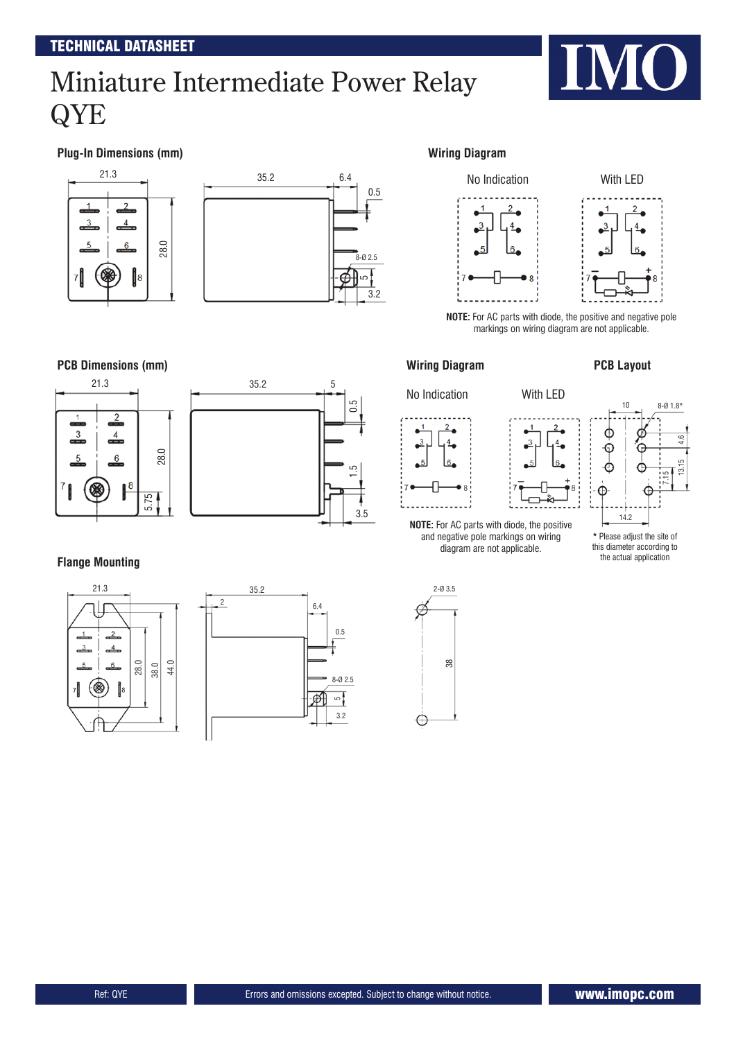# Miniature Intermediate Power Relay QYE

### **Plug-In Dimensions (mm) Wiring Diagram**







**NOTE:** For AC parts with diode, the positive and negative pole markings on wiring diagram are not applicable.

 $4\bullet$ 

### **Wiring Diagram**





and negative pole markings on wiring diagram are not applicable.

#### **PCB Layout**



this diameter according to

**PCB Dimensions (mm)**





## **Flange Mounting** the actual application